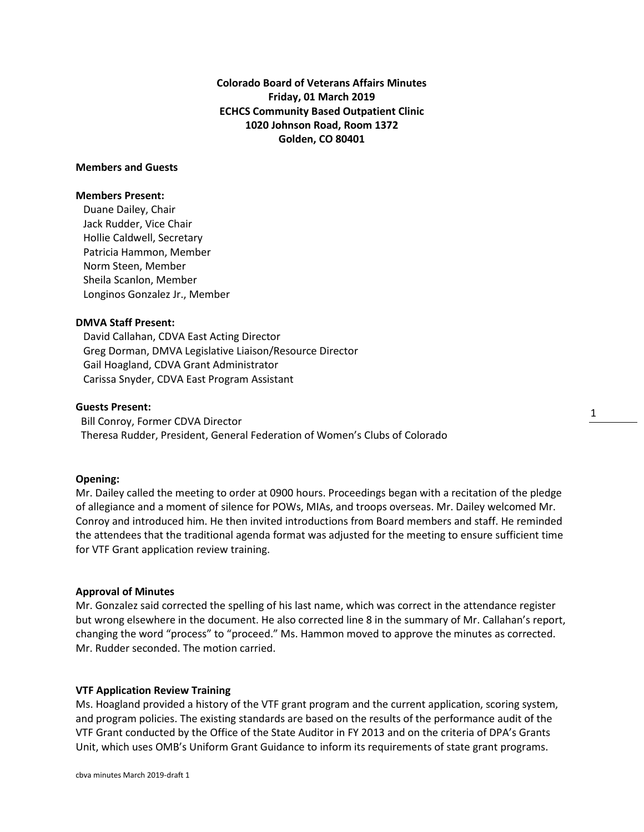**Colorado Board of Veterans Affairs Minutes Friday, 01 March 2019 ECHCS Community Based Outpatient Clinic 1020 Johnson Road, Room 1372 Golden, CO 80401**

# **Members and Guests**

### **Members Present:**

Duane Dailey, Chair Jack Rudder, Vice Chair Hollie Caldwell, Secretary Patricia Hammon, Member Norm Steen, Member Sheila Scanlon, Member Longinos Gonzalez Jr., Member

## **DMVA Staff Present:**

David Callahan, CDVA East Acting Director Greg Dorman, DMVA Legislative Liaison/Resource Director Gail Hoagland, CDVA Grant Administrator Carissa Snyder, CDVA East Program Assistant

### **Guests Present:**

 Bill Conroy, Former CDVA Director Theresa Rudder, President, General Federation of Women's Clubs of Colorado

# **Opening:**

Mr. Dailey called the meeting to order at 0900 hours. Proceedings began with a recitation of the pledge of allegiance and a moment of silence for POWs, MIAs, and troops overseas. Mr. Dailey welcomed Mr. Conroy and introduced him. He then invited introductions from Board members and staff. He reminded the attendees that the traditional agenda format was adjusted for the meeting to ensure sufficient time for VTF Grant application review training.

1

#### **Approval of Minutes**

Mr. Gonzalez said corrected the spelling of his last name, which was correct in the attendance register but wrong elsewhere in the document. He also corrected line 8 in the summary of Mr. Callahan's report, changing the word "process" to "proceed." Ms. Hammon moved to approve the minutes as corrected. Mr. Rudder seconded. The motion carried.

#### **VTF Application Review Training**

Ms. Hoagland provided a history of the VTF grant program and the current application, scoring system, and program policies. The existing standards are based on the results of the performance audit of the VTF Grant conducted by the Office of the State Auditor in FY 2013 and on the criteria of DPA's Grants Unit, which uses OMB's Uniform Grant Guidance to inform its requirements of state grant programs.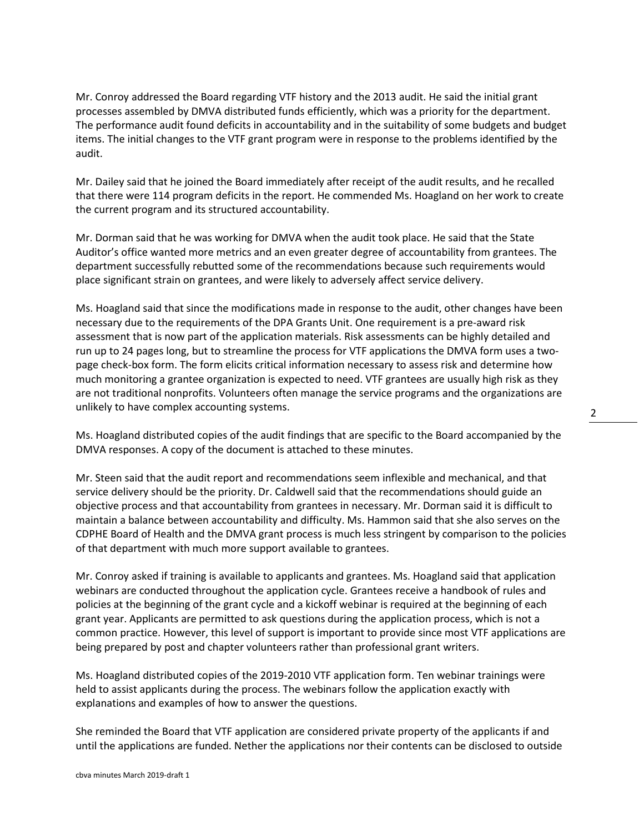Mr. Conroy addressed the Board regarding VTF history and the 2013 audit. He said the initial grant processes assembled by DMVA distributed funds efficiently, which was a priority for the department. The performance audit found deficits in accountability and in the suitability of some budgets and budget items. The initial changes to the VTF grant program were in response to the problems identified by the audit.

Mr. Dailey said that he joined the Board immediately after receipt of the audit results, and he recalled that there were 114 program deficits in the report. He commended Ms. Hoagland on her work to create the current program and its structured accountability.

Mr. Dorman said that he was working for DMVA when the audit took place. He said that the State Auditor's office wanted more metrics and an even greater degree of accountability from grantees. The department successfully rebutted some of the recommendations because such requirements would place significant strain on grantees, and were likely to adversely affect service delivery.

Ms. Hoagland said that since the modifications made in response to the audit, other changes have been necessary due to the requirements of the DPA Grants Unit. One requirement is a pre-award risk assessment that is now part of the application materials. Risk assessments can be highly detailed and run up to 24 pages long, but to streamline the process for VTF applications the DMVA form uses a twopage check-box form. The form elicits critical information necessary to assess risk and determine how much monitoring a grantee organization is expected to need. VTF grantees are usually high risk as they are not traditional nonprofits. Volunteers often manage the service programs and the organizations are unlikely to have complex accounting systems.

Ms. Hoagland distributed copies of the audit findings that are specific to the Board accompanied by the DMVA responses. A copy of the document is attached to these minutes.

Mr. Steen said that the audit report and recommendations seem inflexible and mechanical, and that service delivery should be the priority. Dr. Caldwell said that the recommendations should guide an objective process and that accountability from grantees in necessary. Mr. Dorman said it is difficult to maintain a balance between accountability and difficulty. Ms. Hammon said that she also serves on the CDPHE Board of Health and the DMVA grant process is much less stringent by comparison to the policies of that department with much more support available to grantees.

Mr. Conroy asked if training is available to applicants and grantees. Ms. Hoagland said that application webinars are conducted throughout the application cycle. Grantees receive a handbook of rules and policies at the beginning of the grant cycle and a kickoff webinar is required at the beginning of each grant year. Applicants are permitted to ask questions during the application process, which is not a common practice. However, this level of support is important to provide since most VTF applications are being prepared by post and chapter volunteers rather than professional grant writers.

Ms. Hoagland distributed copies of the 2019-2010 VTF application form. Ten webinar trainings were held to assist applicants during the process. The webinars follow the application exactly with explanations and examples of how to answer the questions.

She reminded the Board that VTF application are considered private property of the applicants if and until the applications are funded. Nether the applications nor their contents can be disclosed to outside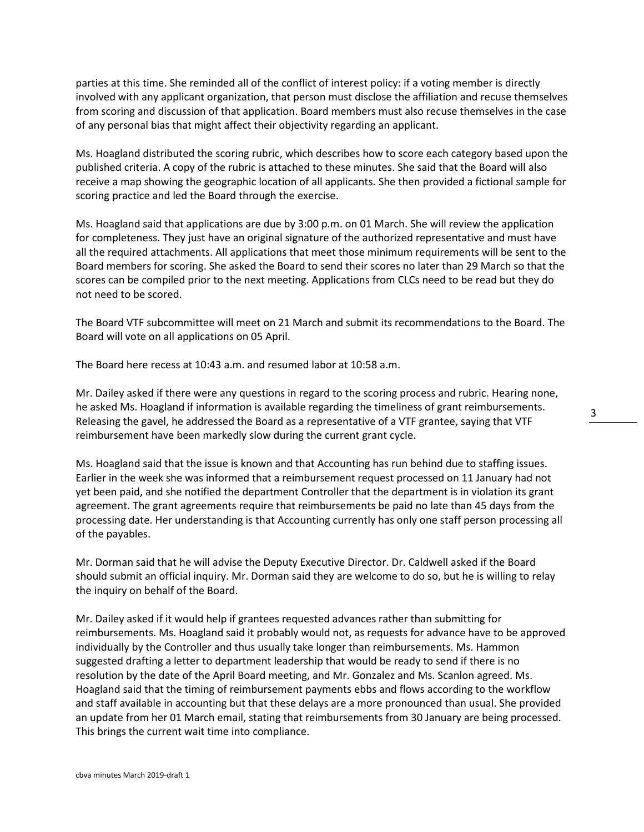parties at this time. She reminded all of the conflict of interest policy: if a voting member is directly involved with any applicant organization, that person must disclose the affiliation and recuse themselves from scoring and discussion of that application. Board members must also recuse themselves in the case of any personal bias that might affect their objectivity regarding an applicant.

Ms. Hoagland distributed the scoring rubric, which describes how to score each category based upon the published criteria. A copy of the rubric is attached to these minutes. She said that the Board will also receive a map showing the geographic location of all applicants. She then provided a fictional sample for scoring practice and led the Board through the exercise.

Ms. Hoagland said that applications are due by 3:00 p.m. on 01 March. She will review the application for completeness. They just have an original signature of the authorized representative and must have all the required attachments. All applications that meet those minimum requirements will be sent to the Board members for scoring. She asked the Board to send their scores no later than 29 March so that the scores can be compiled prior to the next meeting. Applications from CLCs need to be read but they do not need to be scored.

The Board VTF subcommittee will meet on 21 March and submit its recommendations to the Board. The Board will vote on all applications on 05 April.

The Board here recess at 10:43 a.m. and resumed labor at 10:58 a.m.

Mr. Dailey asked if there were any questions in regard to the scoring process and rubric. Hearing none, he asked Ms. Hoagland if information is available regarding the timeliness of grant reimbursements. Releasing the gavel, he addressed the Board as a representative of a VTF grantee, saying that VTF reimbursement have been markedly slow during the current grant cycle.

Ms. Hoagland said that the issue is known and that Accounting has run behind due to staffing issues. Earlier in the week she was informed that a reimbursement request processed on 11 January had not yet been paid, and she notified the department Controller that the department is in violation its grant agreement. The grant agreements require that reimbursements be paid no late than 45 days from the processing date. Her understanding is that Accounting currently has only one staff person processing all of the payables.

Mr. Dorman said that he will advise the Deputy Executive Director. Dr. Caldwell asked if the Board should submit an official inquiry. Mr. Dorman said they are welcome to do so, but he is willing to relay the inquiry on behalf of the Board.

Mr. Dailey asked if it would help if grantees requested advances rather than submitting for reimbursements. Ms. Hoagland said it probably would not, as requests for advance have to be approved individually by the Controller and thus usually take longer than reimbursements. Ms. Hammon suggested drafting a letter to department leadership that would be ready to send if there is no resolution by the date of the April Board meeting, and Mr. Gonzalez and Ms. Scanlon agreed. Ms. Hoagland said that the timing of reimbursement payments ebbs and flows according to the workflow and staff available in accounting but that these delays are a more pronounced than usual. She provided an update from her 01 March email, stating that reimbursements from 30 January are being processed. This brings the current wait time into compliance.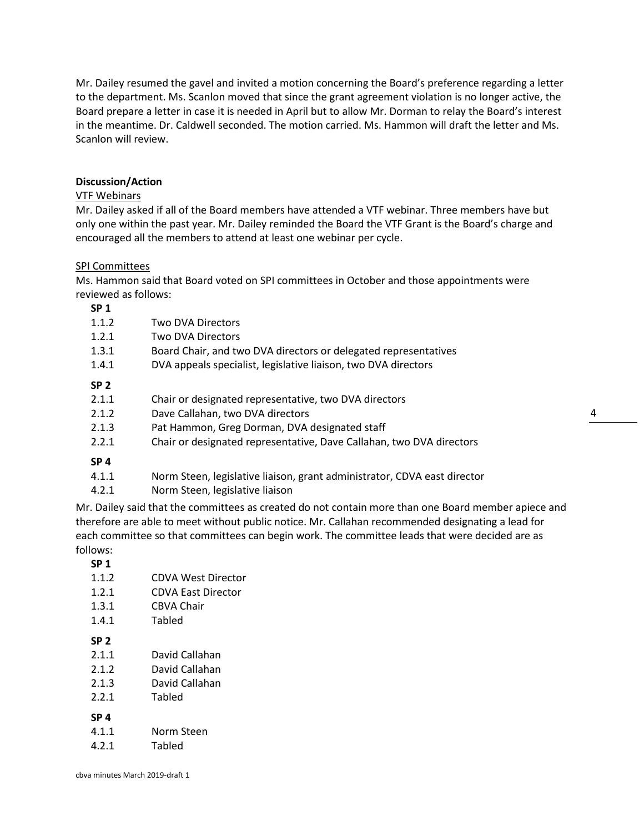Mr. Dailey resumed the gavel and invited a motion concerning the Board's preference regarding a letter to the department. Ms. Scanlon moved that since the grant agreement violation is no longer active, the Board prepare a letter in case it is needed in April but to allow Mr. Dorman to relay the Board's interest in the meantime. Dr. Caldwell seconded. The motion carried. Ms. Hammon will draft the letter and Ms. Scanlon will review.

## **Discussion/Action**

# VTF Webinars

Mr. Dailey asked if all of the Board members have attended a VTF webinar. Three members have but only one within the past year. Mr. Dailey reminded the Board the VTF Grant is the Board's charge and encouraged all the members to attend at least one webinar per cycle.

### SPI Committees

Ms. Hammon said that Board voted on SPI committees in October and those appointments were reviewed as follows:

**SP 1**

| சா உ            |                                                                          |
|-----------------|--------------------------------------------------------------------------|
| 1.1.2           | Two DVA Directors                                                        |
| 1.2.1           | Two DVA Directors                                                        |
| 1.3.1           | Board Chair, and two DVA directors or delegated representatives          |
| 1.4.1           | DVA appeals specialist, legislative liaison, two DVA directors           |
| SP <sub>2</sub> |                                                                          |
| 2.1.1           | Chair or designated representative, two DVA directors                    |
| 2.1.2           | Dave Callahan, two DVA directors                                         |
| 2.1.3           | Pat Hammon, Greg Dorman, DVA designated staff                            |
| 2.2.1           | Chair or designated representative, Dave Callahan, two DVA directors     |
| SP <sub>4</sub> |                                                                          |
| 4.1.1           | Norm Steen, legislative liaison, grant administrator, CDVA east director |
| 4.2.1           | Norm Steen, legislative liaison                                          |

Mr. Dailey said that the committees as created do not contain more than one Board member apiece and therefore are able to meet without public notice. Mr. Callahan recommended designating a lead for each committee so that committees can begin work. The committee leads that were decided are as follows:

**SP 1**

| 1.1.2           | CDVA West Director |
|-----------------|--------------------|
| 1.2.1           | CDVA East Director |
| 1.3.1           | CBVA Chair         |
| 1.4.1           | Tabled             |
| SP <sub>2</sub> |                    |
| 2.1.1           | David Callahan     |
| 2.1.2           | David Callahan     |
| 2.1.3           | David Callahan     |
| 2.2.1           | Tabled             |
| SP <sub>4</sub> |                    |
| 4.1.1           | Norm Steen         |
| 4.2.1           | Tabled             |
|                 |                    |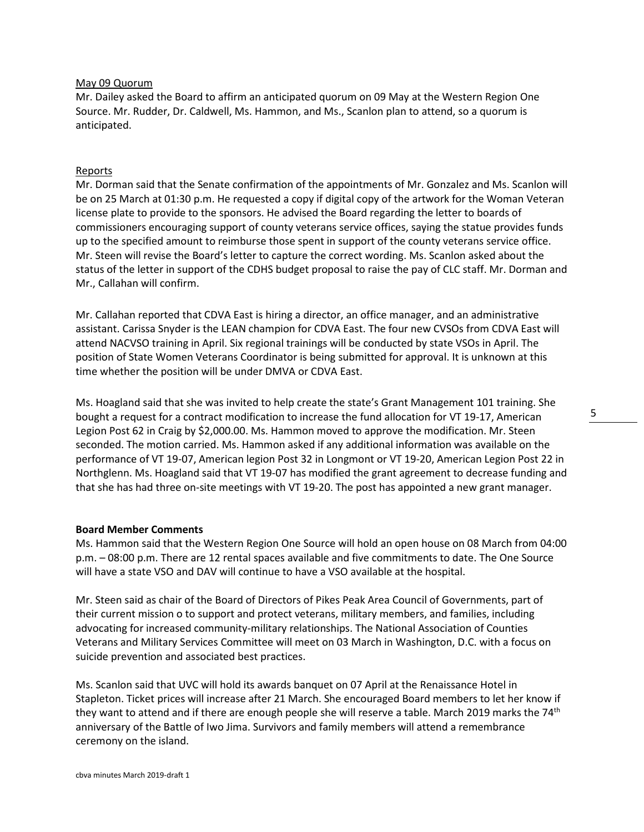### May 09 Quorum

Mr. Dailey asked the Board to affirm an anticipated quorum on 09 May at the Western Region One Source. Mr. Rudder, Dr. Caldwell, Ms. Hammon, and Ms., Scanlon plan to attend, so a quorum is anticipated.

## Reports

Mr. Dorman said that the Senate confirmation of the appointments of Mr. Gonzalez and Ms. Scanlon will be on 25 March at 01:30 p.m. He requested a copy if digital copy of the artwork for the Woman Veteran license plate to provide to the sponsors. He advised the Board regarding the letter to boards of commissioners encouraging support of county veterans service offices, saying the statue provides funds up to the specified amount to reimburse those spent in support of the county veterans service office. Mr. Steen will revise the Board's letter to capture the correct wording. Ms. Scanlon asked about the status of the letter in support of the CDHS budget proposal to raise the pay of CLC staff. Mr. Dorman and Mr., Callahan will confirm.

Mr. Callahan reported that CDVA East is hiring a director, an office manager, and an administrative assistant. Carissa Snyder is the LEAN champion for CDVA East. The four new CVSOs from CDVA East will attend NACVSO training in April. Six regional trainings will be conducted by state VSOs in April. The position of State Women Veterans Coordinator is being submitted for approval. It is unknown at this time whether the position will be under DMVA or CDVA East.

Ms. Hoagland said that she was invited to help create the state's Grant Management 101 training. She bought a request for a contract modification to increase the fund allocation for VT 19-17, American Legion Post 62 in Craig by \$2,000.00. Ms. Hammon moved to approve the modification. Mr. Steen seconded. The motion carried. Ms. Hammon asked if any additional information was available on the performance of VT 19-07, American legion Post 32 in Longmont or VT 19-20, American Legion Post 22 in Northglenn. Ms. Hoagland said that VT 19-07 has modified the grant agreement to decrease funding and that she has had three on-site meetings with VT 19-20. The post has appointed a new grant manager.

### **Board Member Comments**

Ms. Hammon said that the Western Region One Source will hold an open house on 08 March from 04:00 p.m. – 08:00 p.m. There are 12 rental spaces available and five commitments to date. The One Source will have a state VSO and DAV will continue to have a VSO available at the hospital.

Mr. Steen said as chair of the Board of Directors of Pikes Peak Area Council of Governments, part of their current mission o to support and protect veterans, military members, and families, including advocating for increased community-military relationships. The National Association of Counties Veterans and Military Services Committee will meet on 03 March in Washington, D.C. with a focus on suicide prevention and associated best practices.

Ms. Scanlon said that UVC will hold its awards banquet on 07 April at the Renaissance Hotel in Stapleton. Ticket prices will increase after 21 March. She encouraged Board members to let her know if they want to attend and if there are enough people she will reserve a table. March 2019 marks the  $74<sup>th</sup>$ anniversary of the Battle of Iwo Jima. Survivors and family members will attend a remembrance ceremony on the island.